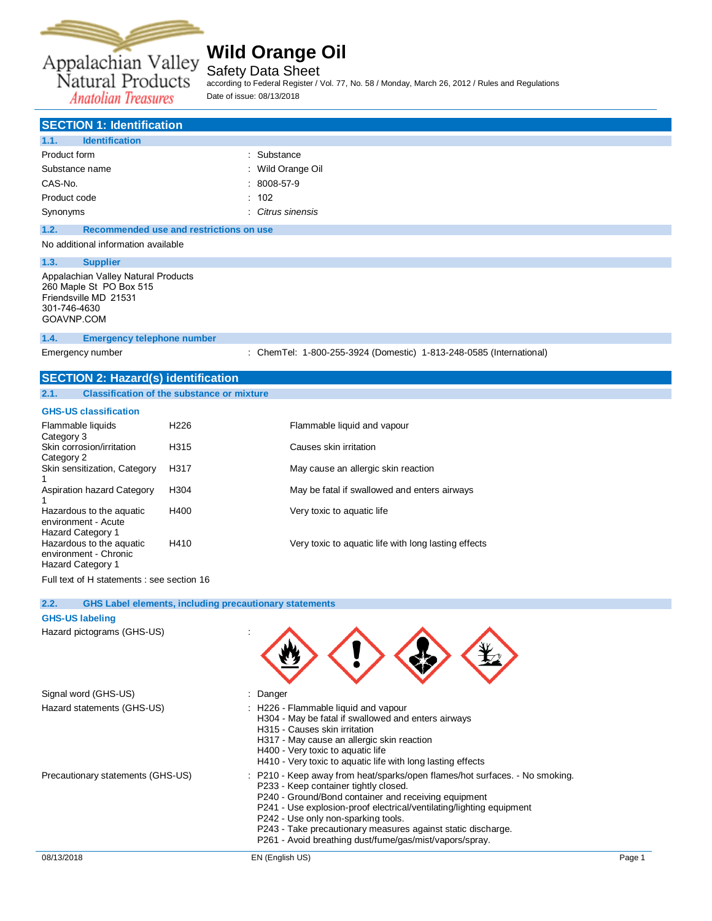

Safety Data Sheet

according to Federal Register / Vol. 77, No. 58 / Monday, March 26, 2012 / Rules and Regulations Date of issue: 08/13/2018

## **SECTION 1: Identification**

| 1.1.<br><b>Identification</b> |                   |
|-------------------------------|-------------------|
| Product form                  | : Substance       |
| Substance name                | : Wild Orange Oil |
| CAS-No.                       | $: 8008 - 57 - 9$ |
| Product code                  | : 102             |
| Synonyms                      | : Citrus sinensis |
|                               |                   |

**1.2. Recommended use and restrictions on use**

## No additional information available

**1.3. Supplier**

Appalachian Valley Natural Products 260 Maple St PO Box 515 Friendsville MD 21531 301-746-4630 [GOAVNP.COM](file:///C:/Users/tchipman/AppData/Local/Temp/www.ThePerfumery.com)

#### **1.4. Emergency telephone number**

Emergency number : ChemTel: 1-800-255-3924 (Domestic) 1-813-248-0585 (International)

 $\bigoplus$   $\bigoplus$   $\bigoplus$ 

### **SECTION 2: Hazard(s) identification**

| 2.1. | <b>Classification of the substance or mixture</b> |
|------|---------------------------------------------------|
|------|---------------------------------------------------|

#### **GHS-US classification**

| Flammable liquids<br>Category 3                                        | H <sub>226</sub> | Flammable liquid and vapour                          |
|------------------------------------------------------------------------|------------------|------------------------------------------------------|
| Skin corrosion/irritation<br>Category 2                                | H <sub>315</sub> | Causes skin irritation                               |
| Skin sensitization, Category                                           | H317             | May cause an allergic skin reaction                  |
| Aspiration hazard Category                                             | H <sub>304</sub> | May be fatal if swallowed and enters airways         |
| Hazardous to the aguatic<br>environment - Acute<br>Hazard Category 1   | H400             | Very toxic to aquatic life                           |
| Hazardous to the aquatic<br>environment - Chronic<br>Hazard Category 1 | H410             | Very toxic to aquatic life with long lasting effects |
|                                                                        |                  |                                                      |

Full text of H statements : see section 16

#### **2.2. GHS Label elements, including precautionary statements**

### **GHS-US labeling**

Hazard pictograms (GHS-US) :

| Signal word (GHS-US)              | $:$ Danger                                                                                                                                                                                                                                                                                                                                                                                                             |        |
|-----------------------------------|------------------------------------------------------------------------------------------------------------------------------------------------------------------------------------------------------------------------------------------------------------------------------------------------------------------------------------------------------------------------------------------------------------------------|--------|
| Hazard statements (GHS-US)        | : H226 - Flammable liquid and vapour<br>H304 - May be fatal if swallowed and enters airways<br>H315 - Causes skin irritation<br>H317 - May cause an allergic skin reaction<br>H400 - Very toxic to aquatic life<br>H410 - Very toxic to aquatic life with long lasting effects                                                                                                                                         |        |
| Precautionary statements (GHS-US) | : P210 - Keep away from heat/sparks/open flames/hot surfaces. - No smoking.<br>P233 - Keep container tightly closed.<br>P240 - Ground/Bond container and receiving equipment<br>P241 - Use explosion-proof electrical/ventilating/lighting equipment<br>P242 - Use only non-sparking tools.<br>P243 - Take precautionary measures against static discharge.<br>P261 - Avoid breathing dust/fume/gas/mist/vapors/spray. |        |
| 08/13/2018                        | EN (English US)                                                                                                                                                                                                                                                                                                                                                                                                        | Page 1 |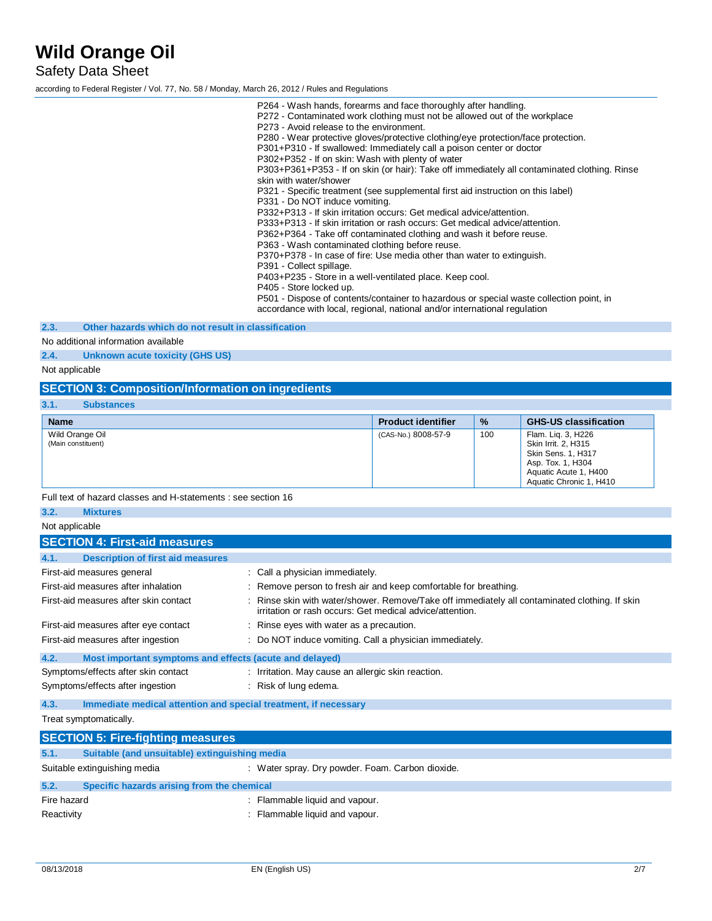Safety Data Sheet

according to Federal Register / Vol. 77, No. 58 / Monday, March 26, 2012 / Rules and Regulations

P264 - Wash hands, forearms and face thoroughly after handling. P272 - Contaminated work clothing must not be allowed out of the workplace P273 - Avoid release to the environment. P280 - Wear protective gloves/protective clothing/eye protection/face protection. P301+P310 - If swallowed: Immediately call a poison center or doctor P302+P352 - If on skin: Wash with plenty of water P303+P361+P353 - If on skin (or hair): Take off immediately all contaminated clothing. Rinse skin with water/shower P321 - Specific treatment (see supplemental first aid instruction on this label) P331 - Do NOT induce vomiting. P332+P313 - If skin irritation occurs: Get medical advice/attention. P333+P313 - If skin irritation or rash occurs: Get medical advice/attention. P362+P364 - Take off contaminated clothing and wash it before reuse. P363 - Wash contaminated clothing before reuse. P370+P378 - In case of fire: Use media other than water to extinguish. P391 - Collect spillage. P403+P235 - Store in a well-ventilated place. Keep cool. P405 - Store locked up. P501 - Dispose of contents/container to hazardous or special waste collection point, in accordance with local, regional, national and/or international regulation

#### **2.3. Other hazards which do not result in classification**

#### No additional information available

**2.4. Unknown acute toxicity (GHS US)**

Not applicable

### **SECTION 3: Composition/Information on ingredients**

| 3.1. | <b>Substances</b> |
|------|-------------------|
|      |                   |

| <b>Name</b>                           | <b>Product identifier</b> | $\frac{9}{6}$ | <b>GHS-US classification</b>                                                                                                                    |
|---------------------------------------|---------------------------|---------------|-------------------------------------------------------------------------------------------------------------------------------------------------|
| Wild Orange Oil<br>(Main constituent) | (CAS-No.) 8008-57-9       | 100           | Flam. Lig. 3, H226<br>Skin Irrit. 2, H315<br><b>Skin Sens. 1, H317</b><br>Asp. Tox. 1, H304<br>Aquatic Acute 1, H400<br>Aquatic Chronic 1, H410 |

Full text of hazard classes and H-statements : see section 16

## **3.2. Mixtures**

| Not applicable                                                          |                                                                                                                                                            |
|-------------------------------------------------------------------------|------------------------------------------------------------------------------------------------------------------------------------------------------------|
| <b>SECTION 4: First-aid measures</b>                                    |                                                                                                                                                            |
| <b>Description of first aid measures</b><br>4.1.                        |                                                                                                                                                            |
| First-aid measures general                                              | Call a physician immediately.                                                                                                                              |
| First-aid measures after inhalation                                     | : Remove person to fresh air and keep comfortable for breathing.                                                                                           |
| First-aid measures after skin contact                                   | : Rinse skin with water/shower. Remove/Take off immediately all contaminated clothing. If skin<br>irritation or rash occurs: Get medical advice/attention. |
| First-aid measures after eye contact                                    | : Rinse eyes with water as a precaution.                                                                                                                   |
| First-aid measures after ingestion                                      | : Do NOT induce vomiting. Call a physician immediately.                                                                                                    |
| Most important symptoms and effects (acute and delayed)<br>4.2.         |                                                                                                                                                            |
| Symptoms/effects after skin contact                                     | : Irritation. May cause an allergic skin reaction.                                                                                                         |
| Symptoms/effects after ingestion                                        | : Risk of lung edema.                                                                                                                                      |
| Immediate medical attention and special treatment, if necessary<br>4.3. |                                                                                                                                                            |
| Treat symptomatically.                                                  |                                                                                                                                                            |

| <b>SECTION 5: Fire-fighting measures</b> |                                               |                                                  |
|------------------------------------------|-----------------------------------------------|--------------------------------------------------|
| 5.1.                                     | Suitable (and unsuitable) extinguishing media |                                                  |
|                                          | Suitable extinguishing media                  | : Water spray. Dry powder. Foam. Carbon dioxide. |
| 5.2.                                     | Specific hazards arising from the chemical    |                                                  |
| Fire hazard                              |                                               | : Flammable liquid and vapour.                   |
| Reactivity                               |                                               | : Flammable liquid and vapour.                   |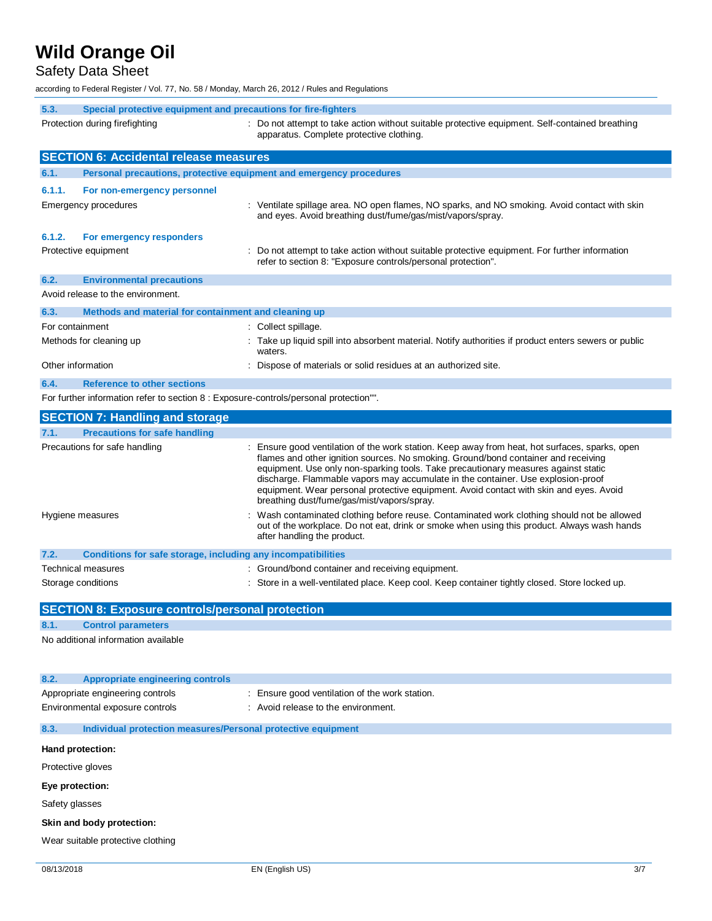Safety Data Sheet

according to Federal Register / Vol. 77, No. 58 / Monday, March 26, 2012 / Rules and Regulations

| 5.3.<br>Special protective equipment and precautions for fire-fighters                |                                                                                                                                                                                                                                                                                                                                                                                                                                                                                                        |  |  |
|---------------------------------------------------------------------------------------|--------------------------------------------------------------------------------------------------------------------------------------------------------------------------------------------------------------------------------------------------------------------------------------------------------------------------------------------------------------------------------------------------------------------------------------------------------------------------------------------------------|--|--|
| Protection during firefighting                                                        | : Do not attempt to take action without suitable protective equipment. Self-contained breathing<br>apparatus. Complete protective clothing.                                                                                                                                                                                                                                                                                                                                                            |  |  |
| <b>SECTION 6: Accidental release measures</b>                                         |                                                                                                                                                                                                                                                                                                                                                                                                                                                                                                        |  |  |
| 6.1.<br>Personal precautions, protective equipment and emergency procedures           |                                                                                                                                                                                                                                                                                                                                                                                                                                                                                                        |  |  |
| 6.1.1.<br>For non-emergency personnel                                                 |                                                                                                                                                                                                                                                                                                                                                                                                                                                                                                        |  |  |
| Emergency procedures                                                                  | : Ventilate spillage area. NO open flames, NO sparks, and NO smoking. Avoid contact with skin<br>and eyes. Avoid breathing dust/fume/gas/mist/vapors/spray.                                                                                                                                                                                                                                                                                                                                            |  |  |
| 6.1.2.<br>For emergency responders<br>Protective equipment                            | Do not attempt to take action without suitable protective equipment. For further information<br>refer to section 8: "Exposure controls/personal protection".                                                                                                                                                                                                                                                                                                                                           |  |  |
| 6.2.<br><b>Environmental precautions</b>                                              |                                                                                                                                                                                                                                                                                                                                                                                                                                                                                                        |  |  |
| Avoid release to the environment.                                                     |                                                                                                                                                                                                                                                                                                                                                                                                                                                                                                        |  |  |
| 6.3.<br>Methods and material for containment and cleaning up                          |                                                                                                                                                                                                                                                                                                                                                                                                                                                                                                        |  |  |
| For containment                                                                       | : Collect spillage.                                                                                                                                                                                                                                                                                                                                                                                                                                                                                    |  |  |
| Methods for cleaning up                                                               | : Take up liquid spill into absorbent material. Notify authorities if product enters sewers or public<br>waters.                                                                                                                                                                                                                                                                                                                                                                                       |  |  |
| Other information                                                                     | Dispose of materials or solid residues at an authorized site.                                                                                                                                                                                                                                                                                                                                                                                                                                          |  |  |
| 6.4.<br><b>Reference to other sections</b>                                            |                                                                                                                                                                                                                                                                                                                                                                                                                                                                                                        |  |  |
| For further information refer to section 8 : Exposure-controls/personal protection"". |                                                                                                                                                                                                                                                                                                                                                                                                                                                                                                        |  |  |
| <b>SECTION 7: Handling and storage</b>                                                |                                                                                                                                                                                                                                                                                                                                                                                                                                                                                                        |  |  |
| 7.1.<br><b>Precautions for safe handling</b>                                          |                                                                                                                                                                                                                                                                                                                                                                                                                                                                                                        |  |  |
| Precautions for safe handling                                                         | : Ensure good ventilation of the work station. Keep away from heat, hot surfaces, sparks, open<br>flames and other ignition sources. No smoking. Ground/bond container and receiving<br>equipment. Use only non-sparking tools. Take precautionary measures against static<br>discharge. Flammable vapors may accumulate in the container. Use explosion-proof<br>equipment. Wear personal protective equipment. Avoid contact with skin and eyes. Avoid<br>breathing dust/fume/gas/mist/vapors/spray. |  |  |
| Hygiene measures                                                                      | Wash contaminated clothing before reuse. Contaminated work clothing should not be allowed<br>out of the workplace. Do not eat, drink or smoke when using this product. Always wash hands<br>after handling the product.                                                                                                                                                                                                                                                                                |  |  |
| 7.2.<br>Conditions for safe storage, including any incompatibilities                  |                                                                                                                                                                                                                                                                                                                                                                                                                                                                                                        |  |  |
| <b>Technical measures</b>                                                             | : Ground/bond container and receiving equipment.                                                                                                                                                                                                                                                                                                                                                                                                                                                       |  |  |
| Storage conditions                                                                    | : Store in a well-ventilated place. Keep cool. Keep container tightly closed. Store locked up.                                                                                                                                                                                                                                                                                                                                                                                                         |  |  |
| <b>SECTION 8: Exposure controls/personal protection</b>                               |                                                                                                                                                                                                                                                                                                                                                                                                                                                                                                        |  |  |
| <b>Control parameters</b><br>8.1.                                                     |                                                                                                                                                                                                                                                                                                                                                                                                                                                                                                        |  |  |
| No additional information available                                                   |                                                                                                                                                                                                                                                                                                                                                                                                                                                                                                        |  |  |
|                                                                                       |                                                                                                                                                                                                                                                                                                                                                                                                                                                                                                        |  |  |
| <b>Appropriate engineering controls</b><br>8.2.<br>Appropriate engineering controls   | Ensure good ventilation of the work station.                                                                                                                                                                                                                                                                                                                                                                                                                                                           |  |  |
| Environmental exposure controls                                                       | : Avoid release to the environment.                                                                                                                                                                                                                                                                                                                                                                                                                                                                    |  |  |
| 8.3.<br>Individual protection measures/Personal protective equipment                  |                                                                                                                                                                                                                                                                                                                                                                                                                                                                                                        |  |  |
| Hand protection:                                                                      |                                                                                                                                                                                                                                                                                                                                                                                                                                                                                                        |  |  |
| Protective gloves                                                                     |                                                                                                                                                                                                                                                                                                                                                                                                                                                                                                        |  |  |
|                                                                                       |                                                                                                                                                                                                                                                                                                                                                                                                                                                                                                        |  |  |
| Eye protection:                                                                       |                                                                                                                                                                                                                                                                                                                                                                                                                                                                                                        |  |  |
| Safety glasses                                                                        |                                                                                                                                                                                                                                                                                                                                                                                                                                                                                                        |  |  |
| Skin and body protection:                                                             |                                                                                                                                                                                                                                                                                                                                                                                                                                                                                                        |  |  |
| Wear suitable protective clothing                                                     |                                                                                                                                                                                                                                                                                                                                                                                                                                                                                                        |  |  |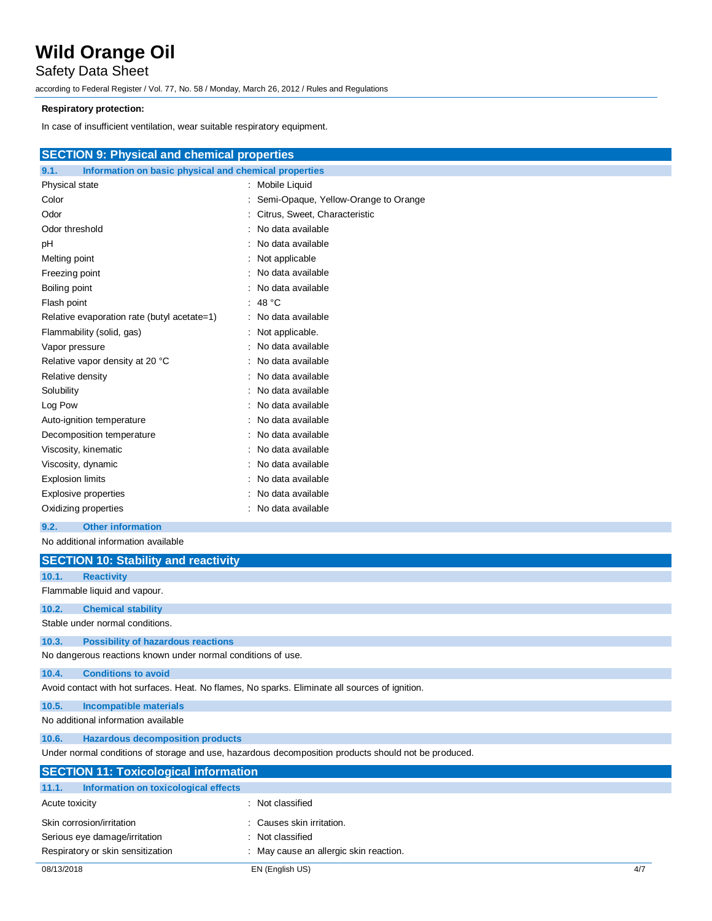Safety Data Sheet

according to Federal Register / Vol. 77, No. 58 / Monday, March 26, 2012 / Rules and Regulations

### **Respiratory protection:**

In case of insufficient ventilation, wear suitable respiratory equipment.

| <b>SECTION 9: Physical and chemical properties</b> |  |
|----------------------------------------------------|--|
|----------------------------------------------------|--|

| 9.1.<br>Information on basic physical and chemical properties |                                      |  |
|---------------------------------------------------------------|--------------------------------------|--|
| Physical state                                                | : Mobile Liquid                      |  |
| Color                                                         | Semi-Opaque, Yellow-Orange to Orange |  |
| Odor                                                          | : Citrus, Sweet, Characteristic      |  |
| Odor threshold                                                | : No data available                  |  |
| pH                                                            | : No data available                  |  |
| Melting point                                                 | : Not applicable                     |  |
| Freezing point                                                | No data available                    |  |
| Boiling point                                                 | No data available                    |  |
| Flash point                                                   | : 48 $^{\circ}$ C                    |  |
| Relative evaporation rate (butyl acetate=1)                   | : No data available                  |  |
| Flammability (solid, gas)                                     | : Not applicable.                    |  |
| Vapor pressure                                                | No data available                    |  |
| Relative vapor density at 20 °C                               | No data available                    |  |
| Relative density                                              | : No data available                  |  |
| Solubility                                                    | : No data available                  |  |
| Log Pow                                                       | : No data available                  |  |
| Auto-ignition temperature                                     | : No data available                  |  |
| Decomposition temperature                                     | : No data available                  |  |
| Viscosity, kinematic                                          | : No data available                  |  |
| Viscosity, dynamic                                            | : No data available                  |  |
| <b>Explosion limits</b>                                       | : No data available                  |  |
| Explosive properties                                          | No data available                    |  |
| Oxidizing properties                                          | No data available                    |  |
|                                                               |                                      |  |

### **9.2. Other information**

No additional information available

|                                                                                                      | <b>SECTION 10: Stability and reactivity</b>                  |                                                                                                 |  |
|------------------------------------------------------------------------------------------------------|--------------------------------------------------------------|-------------------------------------------------------------------------------------------------|--|
| 10.1.                                                                                                | <b>Reactivity</b>                                            |                                                                                                 |  |
|                                                                                                      | Flammable liquid and vapour.                                 |                                                                                                 |  |
| 10.2.                                                                                                | <b>Chemical stability</b>                                    |                                                                                                 |  |
|                                                                                                      | Stable under normal conditions.                              |                                                                                                 |  |
| 10.3.                                                                                                | <b>Possibility of hazardous reactions</b>                    |                                                                                                 |  |
|                                                                                                      | No dangerous reactions known under normal conditions of use. |                                                                                                 |  |
| 10.4.                                                                                                | <b>Conditions to avoid</b>                                   |                                                                                                 |  |
|                                                                                                      |                                                              | Avoid contact with hot surfaces. Heat. No flames, No sparks. Eliminate all sources of ignition. |  |
| 10.5.                                                                                                | <b>Incompatible materials</b>                                |                                                                                                 |  |
|                                                                                                      | No additional information available                          |                                                                                                 |  |
| 10.6.                                                                                                | <b>Hazardous decomposition products</b>                      |                                                                                                 |  |
| Under normal conditions of storage and use, hazardous decomposition products should not be produced. |                                                              |                                                                                                 |  |
| <b>SECTION 11: Toxicological information</b>                                                         |                                                              |                                                                                                 |  |
| 11.1.                                                                                                | Information on toxicological effects                         |                                                                                                 |  |
| Acute toxicity                                                                                       |                                                              | : Not classified                                                                                |  |
|                                                                                                      | Skin corrosion/irritation                                    | : Causes skin irritation.                                                                       |  |
| Serious eye damage/irritation                                                                        |                                                              | : Not classified                                                                                |  |
| Respiratory or skin sensitization<br>: May cause an allergic skin reaction.                          |                                                              |                                                                                                 |  |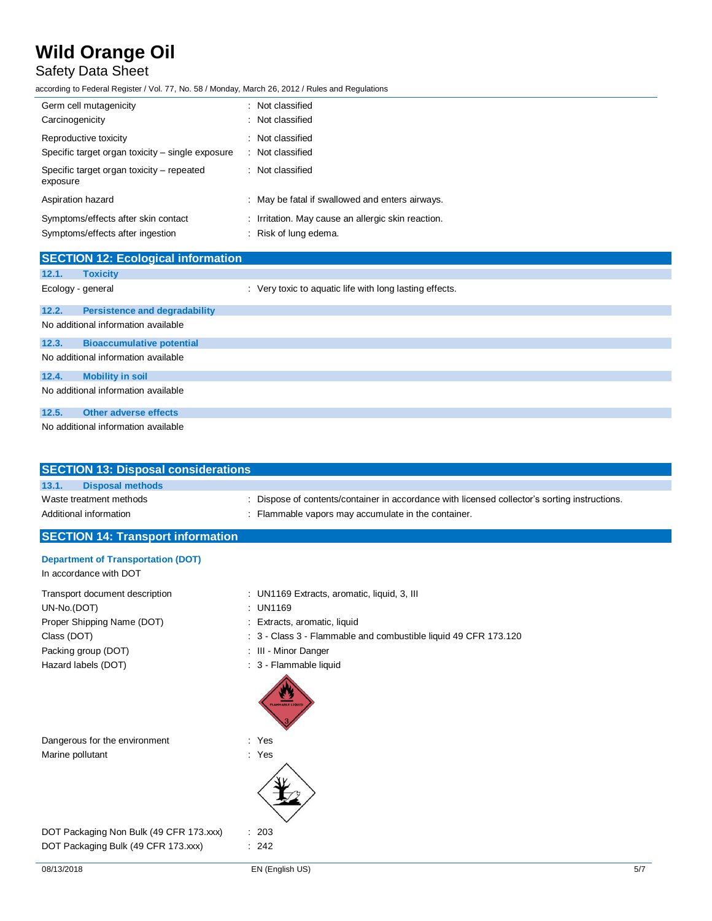## Safety Data Sheet

according to Federal Register / Vol. 77, No. 58 / Monday, March 26, 2012 / Rules and Regulations

| Germ cell mutagenicity                                | : Not classified                                   |
|-------------------------------------------------------|----------------------------------------------------|
| Carcinogenicity                                       | : Not classified                                   |
| Reproductive toxicity                                 | : Not classified                                   |
| Specific target organ toxicity – single exposure      | : Not classified                                   |
| Specific target organ toxicity – repeated<br>exposure | : Not classified                                   |
| Aspiration hazard                                     | : May be fatal if swallowed and enters airways.    |
| Symptoms/effects after skin contact                   | : Irritation. May cause an allergic skin reaction. |
| Symptoms/effects after ingestion                      | : Risk of lung edema.                              |
|                                                       |                                                    |

|                                     | <b>SECTION 12: Ecological information</b> |                                                         |  |  |
|-------------------------------------|-------------------------------------------|---------------------------------------------------------|--|--|
| 12.1.                               | <b>Toxicity</b>                           |                                                         |  |  |
| Ecology - general                   |                                           | : Very toxic to aquatic life with long lasting effects. |  |  |
| 12.2.                               | <b>Persistence and degradability</b>      |                                                         |  |  |
| No additional information available |                                           |                                                         |  |  |
| 12.3.                               | <b>Bioaccumulative potential</b>          |                                                         |  |  |
| No additional information available |                                           |                                                         |  |  |
| 12.4.                               | <b>Mobility in soil</b>                   |                                                         |  |  |
| No additional information available |                                           |                                                         |  |  |
| 12.5.                               | <b>Other adverse effects</b>              |                                                         |  |  |
| No additional information available |                                           |                                                         |  |  |

| <b>SECTION 13: Disposal considerations</b>                                                                                                                                 |                                                                                               |
|----------------------------------------------------------------------------------------------------------------------------------------------------------------------------|-----------------------------------------------------------------------------------------------|
| 13.1.<br><b>Disposal methods</b>                                                                                                                                           |                                                                                               |
| Waste treatment methods                                                                                                                                                    | : Dispose of contents/container in accordance with licensed collector's sorting instructions. |
| Additional information                                                                                                                                                     | : Flammable vapors may accumulate in the container.                                           |
| <b>Communication of the Communication Communication</b><br>the contract of the contract of the contract of the contract of the contract of the contract of the contract of |                                                                                               |

# **SECTION 14: Transport information**

|  | <b>Department of Transportation (DOT)</b> |  |
|--|-------------------------------------------|--|
|--|-------------------------------------------|--|

In accordance with DOT

Transport document description : UN1169 Extracts, aromatic, liquid, 3, III UN-No.(DOT) : UN1169 Proper Shipping Name (DOT) : Extracts, aromatic, liquid Class (DOT) : 3 - Class 3 - Flammable and combustible liquid 49 CFR 173.120 Packing group (DOT) **in the case of the COV** in the Minor Danger Hazard labels (DOT) **interpretatal and the set of the set of the set of the set of the set of the set of the set of the set of the set of the set of the set of the set of the set of the set of the set of the set of the set** 

Dangerous for the environment : Yes Marine pollutant in the set of the set of the set of the set of the set of the set of the set of the set of the set of the set of the set of the set of the set of the set of the set of the set of the set of the set of the

DOT Packaging Non Bulk (49 CFR 173.xxx) : 203 DOT Packaging Bulk (49 CFR 173.xxx) : 242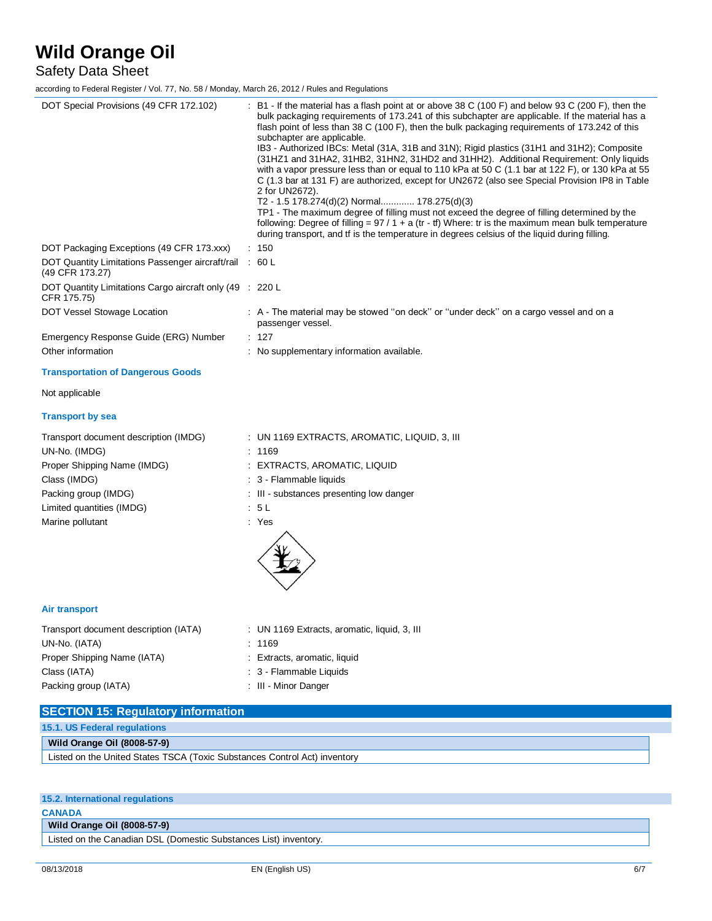Safety Data Sheet

according to Federal Register / Vol. 77, No. 58 / Monday, March 26, 2012 / Rules and Regulations

| DOT Special Provisions (49 CFR 172.102)                                    | : B1 - If the material has a flash point at or above 38 C (100 F) and below 93 C (200 F), then the<br>bulk packaging requirements of 173.241 of this subchapter are applicable. If the material has a<br>flash point of less than 38 C (100 F), then the bulk packaging requirements of 173.242 of this<br>subchapter are applicable.<br>IB3 - Authorized IBCs: Metal (31A, 31B and 31N); Rigid plastics (31H1 and 31H2); Composite<br>(31HZ1 and 31HA2, 31HB2, 31HN2, 31HD2 and 31HH2). Additional Requirement: Only liquids<br>with a vapor pressure less than or equal to 110 kPa at 50 C (1.1 bar at 122 F), or 130 kPa at 55<br>C (1.3 bar at 131 F) are authorized, except for UN2672 (also see Special Provision IP8 in Table<br>2 for UN2672).<br>T2 - 1.5 178.274(d)(2) Normal 178.275(d)(3)<br>TP1 - The maximum degree of filling must not exceed the degree of filling determined by the<br>following: Degree of filling = $97/1 + a$ (tr - tf) Where: tr is the maximum mean bulk temperature<br>during transport, and tf is the temperature in degrees celsius of the liquid during filling. |
|----------------------------------------------------------------------------|------------------------------------------------------------------------------------------------------------------------------------------------------------------------------------------------------------------------------------------------------------------------------------------------------------------------------------------------------------------------------------------------------------------------------------------------------------------------------------------------------------------------------------------------------------------------------------------------------------------------------------------------------------------------------------------------------------------------------------------------------------------------------------------------------------------------------------------------------------------------------------------------------------------------------------------------------------------------------------------------------------------------------------------------------------------------------------------------------------|
| DOT Packaging Exceptions (49 CFR 173.xxx)                                  | : 150                                                                                                                                                                                                                                                                                                                                                                                                                                                                                                                                                                                                                                                                                                                                                                                                                                                                                                                                                                                                                                                                                                      |
| DOT Quantity Limitations Passenger aircraft/rail : 60 L<br>(49 CFR 173.27) |                                                                                                                                                                                                                                                                                                                                                                                                                                                                                                                                                                                                                                                                                                                                                                                                                                                                                                                                                                                                                                                                                                            |
| DOT Quantity Limitations Cargo aircraft only (49 : 220 L<br>CFR 175.75)    |                                                                                                                                                                                                                                                                                                                                                                                                                                                                                                                                                                                                                                                                                                                                                                                                                                                                                                                                                                                                                                                                                                            |
| DOT Vessel Stowage Location                                                | : A - The material may be stowed "on deck" or "under deck" on a cargo vessel and on a<br>passenger vessel.                                                                                                                                                                                                                                                                                                                                                                                                                                                                                                                                                                                                                                                                                                                                                                                                                                                                                                                                                                                                 |
| Emergency Response Guide (ERG) Number                                      | : 127                                                                                                                                                                                                                                                                                                                                                                                                                                                                                                                                                                                                                                                                                                                                                                                                                                                                                                                                                                                                                                                                                                      |
| Other information                                                          | : No supplementary information available.                                                                                                                                                                                                                                                                                                                                                                                                                                                                                                                                                                                                                                                                                                                                                                                                                                                                                                                                                                                                                                                                  |
| <b>Transportation of Dangerous Goods</b>                                   |                                                                                                                                                                                                                                                                                                                                                                                                                                                                                                                                                                                                                                                                                                                                                                                                                                                                                                                                                                                                                                                                                                            |
| Not applicable                                                             |                                                                                                                                                                                                                                                                                                                                                                                                                                                                                                                                                                                                                                                                                                                                                                                                                                                                                                                                                                                                                                                                                                            |
| <b>Transport by sea</b>                                                    |                                                                                                                                                                                                                                                                                                                                                                                                                                                                                                                                                                                                                                                                                                                                                                                                                                                                                                                                                                                                                                                                                                            |
| Transport document description (IMDG)                                      | : UN 1169 EXTRACTS, AROMATIC, LIQUID, 3, III                                                                                                                                                                                                                                                                                                                                                                                                                                                                                                                                                                                                                                                                                                                                                                                                                                                                                                                                                                                                                                                               |
| UN-No. (IMDG)                                                              | : 1169                                                                                                                                                                                                                                                                                                                                                                                                                                                                                                                                                                                                                                                                                                                                                                                                                                                                                                                                                                                                                                                                                                     |
| Proper Shipping Name (IMDG)                                                | : EXTRACTS, AROMATIC, LIQUID                                                                                                                                                                                                                                                                                                                                                                                                                                                                                                                                                                                                                                                                                                                                                                                                                                                                                                                                                                                                                                                                               |
| Class (IMDG)                                                               | : 3 - Flammable liquids                                                                                                                                                                                                                                                                                                                                                                                                                                                                                                                                                                                                                                                                                                                                                                                                                                                                                                                                                                                                                                                                                    |
| Packing group (IMDG)                                                       | : III - substances presenting low danger                                                                                                                                                                                                                                                                                                                                                                                                                                                                                                                                                                                                                                                                                                                                                                                                                                                                                                                                                                                                                                                                   |
| Limited quantities (IMDG)                                                  | : 5 L                                                                                                                                                                                                                                                                                                                                                                                                                                                                                                                                                                                                                                                                                                                                                                                                                                                                                                                                                                                                                                                                                                      |
| Marine pollutant                                                           | : Yes                                                                                                                                                                                                                                                                                                                                                                                                                                                                                                                                                                                                                                                                                                                                                                                                                                                                                                                                                                                                                                                                                                      |
| <b>Air transport</b>                                                       |                                                                                                                                                                                                                                                                                                                                                                                                                                                                                                                                                                                                                                                                                                                                                                                                                                                                                                                                                                                                                                                                                                            |
| Transport document description (IATA)                                      | : UN 1169 Extracts, aromatic, liquid, 3, III                                                                                                                                                                                                                                                                                                                                                                                                                                                                                                                                                                                                                                                                                                                                                                                                                                                                                                                                                                                                                                                               |
| UN-No. (IATA)                                                              | : 1169                                                                                                                                                                                                                                                                                                                                                                                                                                                                                                                                                                                                                                                                                                                                                                                                                                                                                                                                                                                                                                                                                                     |

Proper Shipping Name (IATA) : Extracts, aromatic, liquid Class (IATA)  $\qquad \qquad : 3$  - Flammable Liquids Packing group (IATA) : III - Minor Danger

- 
- 

| <b>SECTION 15: Regulatory information</b>                                 |  |  |  |  |
|---------------------------------------------------------------------------|--|--|--|--|
| 15.1. US Federal regulations                                              |  |  |  |  |
| <b>Wild Orange Oil (8008-57-9)</b>                                        |  |  |  |  |
| Listed on the United States TSCA (Toxic Substances Control Act) inventory |  |  |  |  |

### **15.2. International regulations**

**CANADA**

**Wild Orange Oil (8008-57-9)**

Listed on the Canadian DSL (Domestic Substances List) inventory.